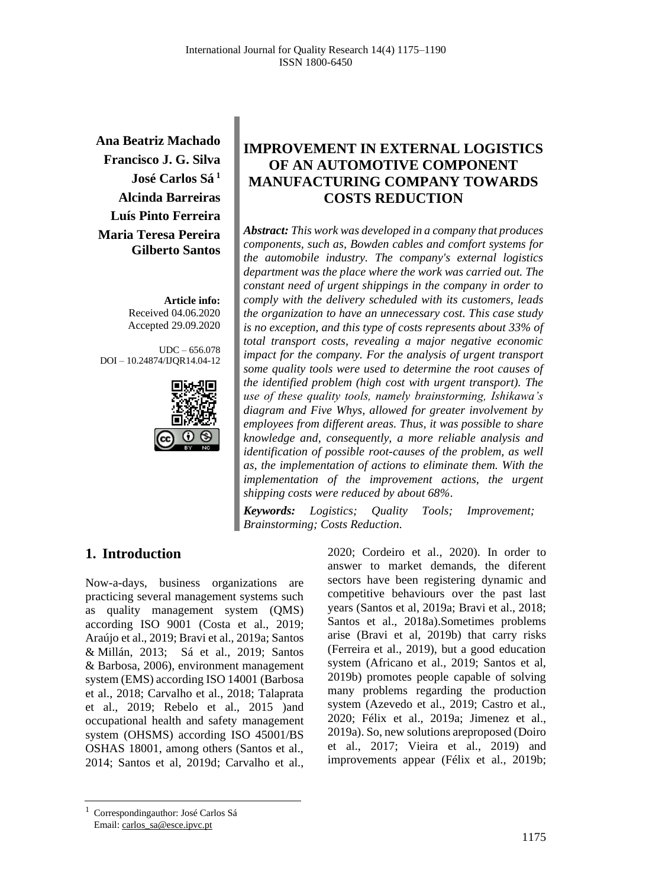**Ana Beatriz Machado Francisco J. G. Silva José Carlos Sá <sup>1</sup> Alcinda Barreiras Luís Pinto Ferreira Maria Teresa Pereira Gilberto Santos**

> **Article info:** Received 04.06.2020 Accepted 29.09.2020

UDC – 656.078 DOI – 10.24874/IJQR14.04-12



# **IMPROVEMENT IN EXTERNAL LOGISTICS OF AN AUTOMOTIVE COMPONENT MANUFACTURING COMPANY TOWARDS COSTS REDUCTION**

*Abstract: This work was developed in a company that produces components, such as, Bowden cables and comfort systems for the automobile industry. The company's external logistics department was the place where the work was carried out. The constant need of urgent shippings in the company in order to comply with the delivery scheduled with its customers, leads the organization to have an unnecessary cost. This case study is no exception, and this type of costs represents about 33% of total transport costs, revealing a major negative economic impact for the company. For the analysis of urgent transport some quality tools were used to determine the root causes of the identified problem (high cost with urgent transport). The use of these quality tools, namely brainstorming, Ishikawa's diagram and Five Whys, allowed for greater involvement by employees from different areas. Thus, it was possible to share knowledge and, consequently, a more reliable analysis and identification of possible root-causes of the problem, as well as, the implementation of actions to eliminate them. With the implementation of the improvement actions, the urgent shipping costs were reduced by about 68%.*

*Keywords: Logistics; Quality Tools; Improvement; Brainstorming; Costs Reduction.* 

## **1. Introduction**

Now-a-days, business organizations are practicing several management systems such as quality management system (QMS) according ISO 9001 (Costa et al., 2019; Araújo et al., 2019; Bravi et al., 2019a; Santos & Millán, 2013; Sá et al., 2019; Santos & Barbosa, 2006), environment management system (EMS) according ISO 14001 (Barbosa et al., 2018; Carvalho et al., 2018; Talaprata et al., 2019; Rebelo et al., 2015 )and occupational health and safety management system (OHSMS) according ISO 45001/BS OSHAS 18001, among others (Santos et al., 2014; Santos et al, 2019d; Carvalho et al.,

2020; Cordeiro et al., 2020). In order to answer to market demands, the diferent sectors have been registering dynamic and competitive behaviours over the past last years (Santos et al, 2019a; Bravi et al., 2018; Santos et al., 2018a).Sometimes problems arise (Bravi et al, 2019b) that carry risks (Ferreira et al., 2019), but a good education system (Africano et al., 2019; Santos et al, 2019b) promotes people capable of solving many problems regarding the production system (Azevedo et al., 2019; Castro et al., 2020; Félix et al., 2019a; Jimenez et al., 2019a). So, new solutions areproposed (Doiro et al., 2017; Vieira et al., 2019) and improvements appear (Félix et al., 2019b;

<sup>1</sup> Correspondingauthor: José Carlos Sá Email: carlos\_sa@esce.ipvc.pt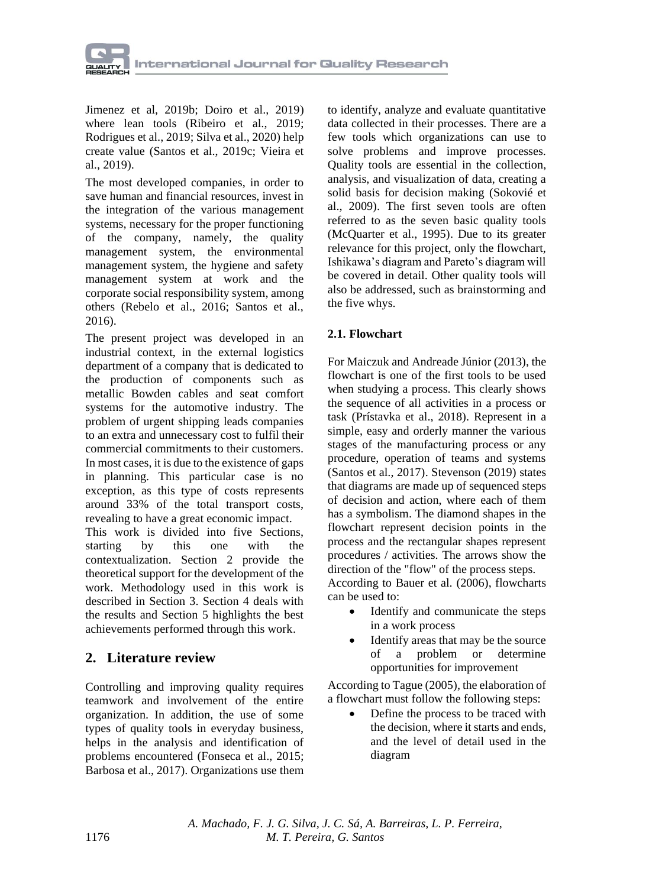

Jimenez et al, 2019b; Doiro et al., 2019) where lean tools (Ribeiro et al., 2019; Rodrigues et al., 2019; Silva et al., 2020) help create value (Santos et al., 2019c; Vieira et al., 2019).

The most developed companies, in order to save human and financial resources, invest in the integration of the various management systems, necessary for the proper functioning of the company, namely, the quality management system, the environmental management system, the hygiene and safety management system at work and the corporate social responsibility system, among others (Rebelo et al., 2016; Santos et al., 2016).

The present project was developed in an industrial context, in the external logistics department of a company that is dedicated to the production of components such as metallic Bowden cables and seat comfort systems for the automotive industry. The problem of urgent shipping leads companies to an extra and unnecessary cost to fulfil their commercial commitments to their customers. In most cases, it is due to the existence of gaps in planning. This particular case is no exception, as this type of costs represents around 33% of the total transport costs, revealing to have a great economic impact.

This work is divided into five Sections, starting by this one with the contextualization. Section 2 provide the theoretical support for the development of the work. Methodology used in this work is described in Section 3. Section 4 deals with the results and Section 5 highlights the best achievements performed through this work.

## **2. Literature review**

Controlling and improving quality requires teamwork and involvement of the entire organization. In addition, the use of some types of quality tools in everyday business, helps in the analysis and identification of problems encountered (Fonseca et al., 2015; Barbosa et al., 2017). Organizations use them

to identify, analyze and evaluate quantitative data collected in their processes. There are a few tools which organizations can use to solve problems and improve processes. Quality tools are essential in the collection, analysis, and visualization of data, creating a solid basis for decision making (Sokovié et al., 2009). The first seven tools are often referred to as the seven basic quality tools (McQuarter et al., 1995). Due to its greater relevance for this project, only the flowchart, Ishikawa's diagram and Pareto's diagram will be covered in detail. Other quality tools will also be addressed, such as brainstorming and the five whys.

## **2.1. Flowchart**

For Maiczuk and Andreade Júnior (2013), the flowchart is one of the first tools to be used when studying a process. This clearly shows the sequence of all activities in a process or task (Prístavka et al., 2018). Represent in a simple, easy and orderly manner the various stages of the manufacturing process or any procedure, operation of teams and systems (Santos et al., 2017). Stevenson (2019) states that diagrams are made up of sequenced steps of decision and action, where each of them has a symbolism. The diamond shapes in the flowchart represent decision points in the process and the rectangular shapes represent procedures / activities. The arrows show the direction of the "flow" of the process steps. According to Bauer et al. (2006), flowcharts

- can be used to: • Identify and communicate the steps in a work process
	- Identify areas that may be the source of a problem or determine opportunities for improvement

According to Tague (2005), the elaboration of a flowchart must follow the following steps:

• Define the process to be traced with the decision, where it starts and ends, and the level of detail used in the diagram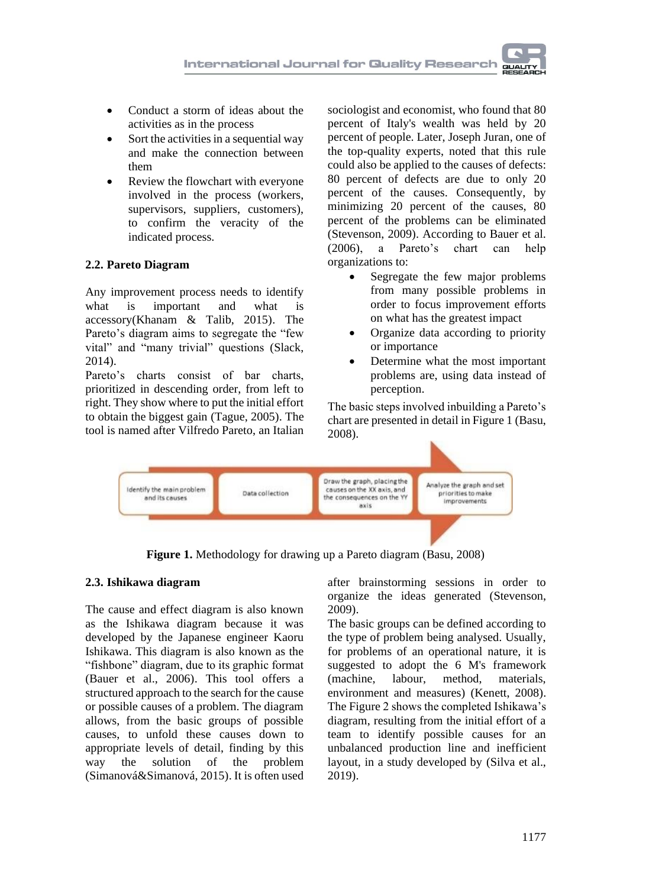

- Conduct a storm of ideas about the activities as in the process
- Sort the activities in a sequential way and make the connection between them
- Review the flowchart with everyone involved in the process (workers, supervisors, suppliers, customers), to confirm the veracity of the indicated process.

## **2.2. Pareto Diagram**

Any improvement process needs to identify what is important and what is accessory(Khanam & Talib, 2015). The Pareto's diagram aims to segregate the "few vital" and "many trivial" questions (Slack, 2014).

Pareto's charts consist of bar charts, prioritized in descending order, from left to right. They show where to put the initial effort to obtain the biggest gain (Tague, 2005). The tool is named after Vilfredo Pareto, an Italian

sociologist and economist, who found that 80 percent of Italy's wealth was held by 20 percent of people. Later, Joseph Juran, one of the top-quality experts, noted that this rule could also be applied to the causes of defects: 80 percent of defects are due to only 20 percent of the causes. Consequently, by minimizing 20 percent of the causes, 80 percent of the problems can be eliminated (Stevenson, 2009). According to Bauer et al. (2006), a Pareto's chart can help organizations to:

- Segregate the few major problems from many possible problems in order to focus improvement efforts on what has the greatest impact
- Organize data according to priority or importance
- Determine what the most important problems are, using data instead of perception.

The basic steps involved inbuilding a Pareto's chart are presented in detail in Figure 1 (Basu, 2008).



**Figure 1.** Methodology for drawing up a Pareto diagram (Basu, 2008)

## **2.3. Ishikawa diagram**

The cause and effect diagram is also known as the Ishikawa diagram because it was developed by the Japanese engineer Kaoru Ishikawa. This diagram is also known as the "fishbone" diagram, due to its graphic format (Bauer et al., 2006). This tool offers a structured approach to the search for the cause or possible causes of a problem. The diagram allows, from the basic groups of possible causes, to unfold these causes down to appropriate levels of detail, finding by this way the solution of the problem (Simanová&Simanová, 2015). It is often used

after brainstorming sessions in order to organize the ideas generated (Stevenson, 2009).

The basic groups can be defined according to the type of problem being analysed. Usually, for problems of an operational nature, it is suggested to adopt the 6 M's framework (machine, labour, method, materials, environment and measures) (Kenett, 2008). The Figure 2 shows the completed Ishikawa's diagram, resulting from the initial effort of a team to identify possible causes for an unbalanced production line and inefficient layout, in a study developed by (Silva et al., 2019).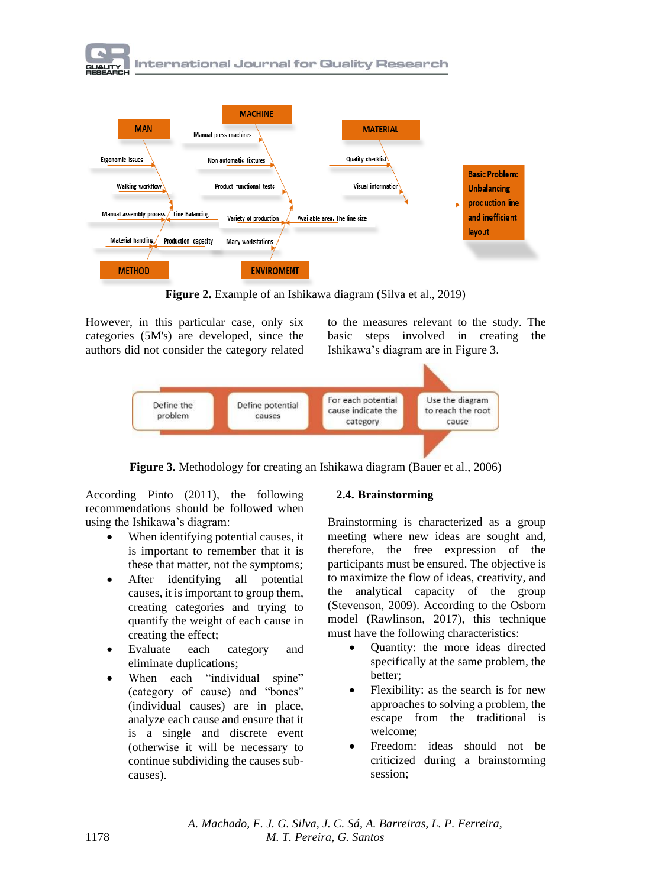



**Figure 2.** Example of an Ishikawa diagram (Silva et al., 2019)

However, in this particular case, only six categories (5M's) are developed, since the authors did not consider the category related

to the measures relevant to the study. The basic steps involved in creating the Ishikawa's diagram are in Figure 3.



**Figure 3.** Methodology for creating an Ishikawa diagram (Bauer et al., 2006)

According Pinto (2011), the following recommendations should be followed when using the Ishikawa's diagram:

- When identifying potential causes, it is important to remember that it is these that matter, not the symptoms;
- After identifying all potential causes, it is important to group them, creating categories and trying to quantify the weight of each cause in creating the effect;
- Evaluate each category and eliminate duplications;
- When each "individual spine" (category of cause) and "bones" (individual causes) are in place, analyze each cause and ensure that it is a single and discrete event (otherwise it will be necessary to continue subdividing the causes subcauses).

### **2.4. Brainstorming**

Brainstorming is characterized as a group meeting where new ideas are sought and, therefore, the free expression of the participants must be ensured. The objective is to maximize the flow of ideas, creativity, and the analytical capacity of the group (Stevenson, 2009). According to the Osborn model (Rawlinson, 2017), this technique must have the following characteristics:

- Quantity: the more ideas directed specifically at the same problem, the better;
- Flexibility: as the search is for new approaches to solving a problem, the escape from the traditional is welcome;
- Freedom: ideas should not be criticized during a brainstorming session;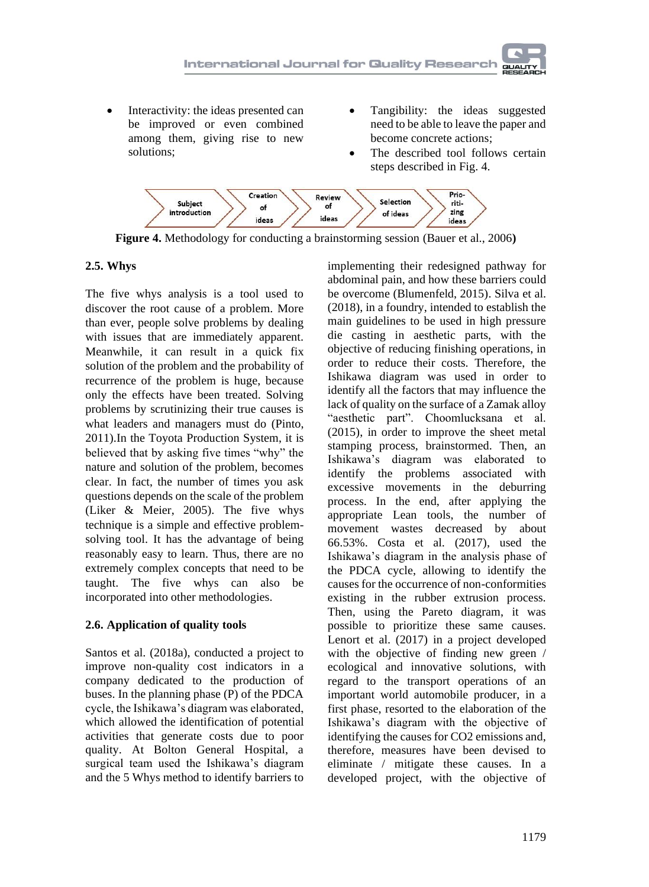- Interactivity: the ideas presented can be improved or even combined among them, giving rise to new solutions;
- Tangibility: the ideas suggested need to be able to leave the paper and become concrete actions;
- The described tool follows certain steps described in Fig. 4.



**Figure 4.** Methodology for conducting a brainstorming session (Bauer et al., 2006**)**

## **2.5. Whys**

The five whys analysis is a tool used to discover the root cause of a problem. More than ever, people solve problems by dealing with issues that are immediately apparent. Meanwhile, it can result in a quick fix solution of the problem and the probability of recurrence of the problem is huge, because only the effects have been treated. Solving problems by scrutinizing their true causes is what leaders and managers must do (Pinto, 2011).In the Toyota Production System, it is believed that by asking five times "why" the nature and solution of the problem, becomes clear. In fact, the number of times you ask questions depends on the scale of the problem (Liker & Meier, 2005). The five whys technique is a simple and effective problemsolving tool. It has the advantage of being reasonably easy to learn. Thus, there are no extremely complex concepts that need to be taught. The five whys can also be incorporated into other methodologies.

## **2.6. Application of quality tools**

Santos et al. (2018a), conducted a project to improve non-quality cost indicators in a company dedicated to the production of buses. In the planning phase (P) of the PDCA cycle, the Ishikawa's diagram was elaborated, which allowed the identification of potential activities that generate costs due to poor quality. At Bolton General Hospital, a surgical team used the Ishikawa's diagram and the 5 Whys method to identify barriers to

implementing their redesigned pathway for abdominal pain, and how these barriers could be overcome (Blumenfeld, 2015). Silva et al. (2018), in a foundry, intended to establish the main guidelines to be used in high pressure die casting in aesthetic parts, with the objective of reducing finishing operations, in order to reduce their costs. Therefore, the Ishikawa diagram was used in order to identify all the factors that may influence the lack of quality on the surface of a Zamak alloy "aesthetic part". Choomlucksana et al. (2015), in order to improve the sheet metal stamping process, brainstormed. Then, an Ishikawa's diagram was elaborated to identify the problems associated with excessive movements in the deburring process. In the end, after applying the appropriate Lean tools, the number of movement wastes decreased by about 66.53%. Costa et al. (2017), used the Ishikawa's diagram in the analysis phase of the PDCA cycle, allowing to identify the causes for the occurrence of non-conformities existing in the rubber extrusion process. Then, using the Pareto diagram, it was possible to prioritize these same causes. Lenort et al. (2017) in a project developed with the objective of finding new green / ecological and innovative solutions, with regard to the transport operations of an important world automobile producer, in a first phase, resorted to the elaboration of the Ishikawa's diagram with the objective of identifying the causes for CO2 emissions and, therefore, measures have been devised to eliminate / mitigate these causes. In a developed project, with the objective of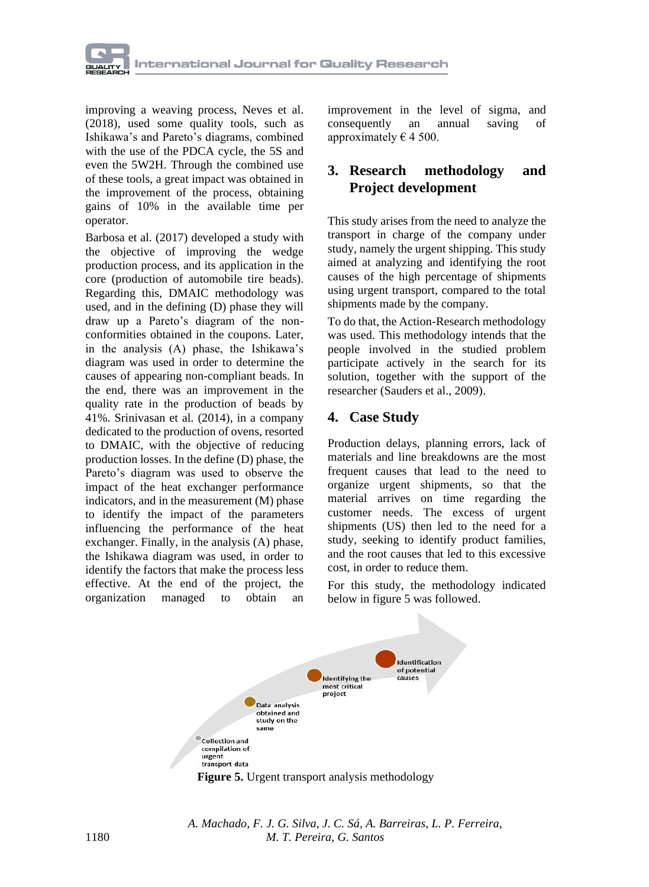

improving a weaving process, Neves et al. (2018), used some quality tools, such as Ishikawa's and Pareto's diagrams, combined with the use of the PDCA cycle, the 5S and even the 5W2H. Through the combined use of these tools, a great impact was obtained in the improvement of the process, obtaining gains of 10% in the available time per operator.

Barbosa et al. (2017) developed a study with the objective of improving the wedge production process, and its application in the core (production of automobile tire beads). Regarding this, DMAIC methodology was used, and in the defining (D) phase they will draw up a Pareto's diagram of the nonconformities obtained in the coupons. Later, in the analysis (A) phase, the Ishikawa's diagram was used in order to determine the causes of appearing non-compliant beads. In the end, there was an improvement in the quality rate in the production of beads by 41%. Srinivasan et al. (2014), in a company dedicated to the production of ovens, resorted to DMAIC, with the objective of reducing production losses. In the define (D) phase, the Pareto's diagram was used to observe the impact of the heat exchanger performance indicators, and in the measurement (M) phase to identify the impact of the parameters influencing the performance of the heat exchanger. Finally, in the analysis (A) phase, the Ishikawa diagram was used, in order to identify the factors that make the process less effective. At the end of the project, the organization managed to obtain an

improvement in the level of sigma, and consequently an annual saving of approximately  $\epsilon$  4 500.

## **3. Research methodology and Project development**

This study arises from the need to analyze the transport in charge of the company under study, namely the urgent shipping. This study aimed at analyzing and identifying the root causes of the high percentage of shipments using urgent transport, compared to the total shipments made by the company.

To do that, the Action-Research methodology was used. This methodology intends that the people involved in the studied problem participate actively in the search for its solution, together with the support of the researcher (Sauders et al., 2009).

# **4. Case Study**

Production delays, planning errors, lack of materials and line breakdowns are the most frequent causes that lead to the need to organize urgent shipments, so that the material arrives on time regarding the customer needs. The excess of urgent shipments (US) then led to the need for a study, seeking to identify product families, and the root causes that led to this excessive cost, in order to reduce them.

For this study, the methodology indicated below in figure 5 was followed.



**Figure 5.** Urgent transport analysis methodology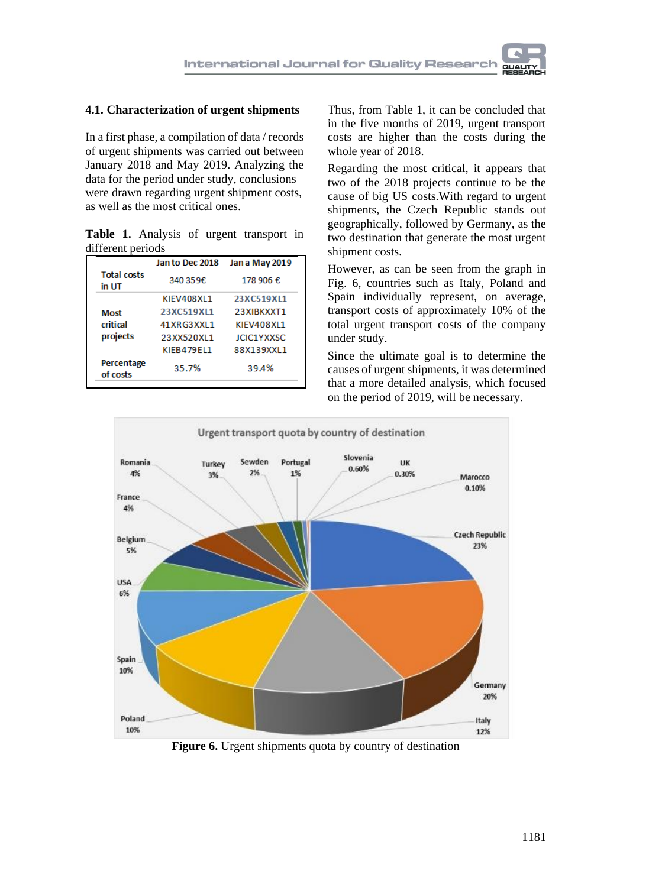

#### **4.1. Characterization of urgent shipments**

In a first phase, a compilation of data / records of urgent shipments was carried out between January 2018 and May 2019. Analyzing the data for the period under study, conclusions were drawn regarding urgent shipment costs, as well as the most critical ones.

|                   |  |  | Table 1. Analysis of urgent transport in |  |
|-------------------|--|--|------------------------------------------|--|
| different periods |  |  |                                          |  |

|                             | Jan to Dec 2018 | Jan a May 2019    |  |
|-----------------------------|-----------------|-------------------|--|
| <b>Total costs</b><br>in UT | 340 359€        | 178 906 €         |  |
|                             | KIFV408XL1      | 23XC519X11        |  |
| Most                        | 23XC519X11      | 23XIBKXXT1        |  |
| critical                    | 41XRG3XXL1      | KIEV408XL1        |  |
| projects                    | 23XX520XL1      | <b>ICIC1YXXSC</b> |  |
|                             | KIEB479EL1      | 88X139XXL1        |  |
| Percentage<br>of costs      | 35.7%           | 39.4%             |  |

Thus, from Table 1, it can be concluded that in the five months of 2019, urgent transport costs are higher than the costs during the whole year of 2018.

Regarding the most critical, it appears that two of the 2018 projects continue to be the cause of big US costs.With regard to urgent shipments, the Czech Republic stands out geographically, followed by Germany, as the two destination that generate the most urgent shipment costs.

However, as can be seen from the graph in Fig. 6, countries such as Italy, Poland and Spain individually represent, on average, transport costs of approximately 10% of the total urgent transport costs of the company under study.

Since the ultimate goal is to determine the causes of urgent shipments, it was determined that a more detailed analysis, which focused on the period of 2019, will be necessary.



**Figure 6.** Urgent shipments quota by country of destination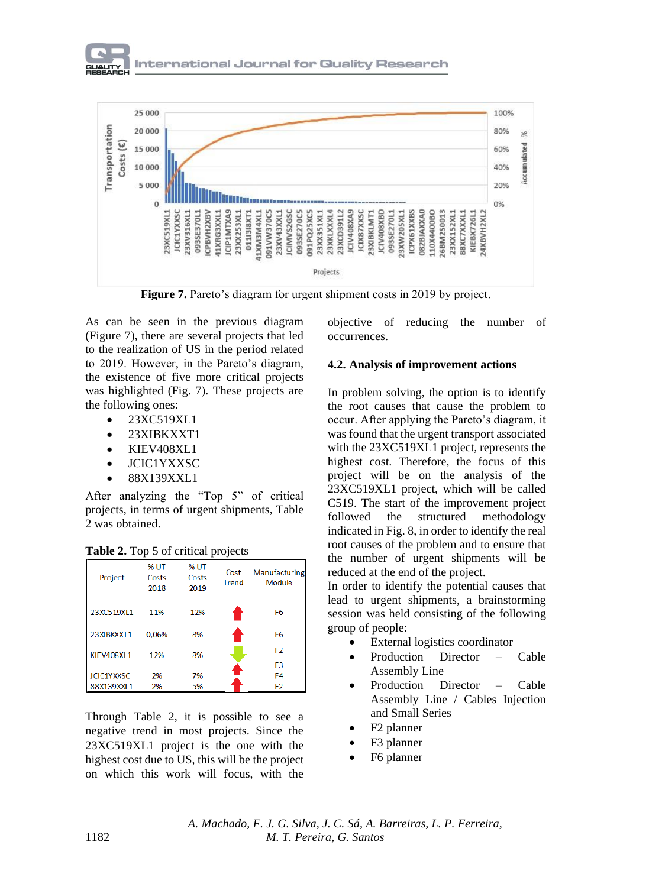



**Figure 7.** Pareto's diagram for urgent shipment costs in 2019 by project.

As can be seen in the previous diagram (Figure 7), there are several projects that led to the realization of US in the period related to 2019. However, in the Pareto's diagram, the existence of five more critical projects was highlighted (Fig. 7). These projects are the following ones:

- 23XC519XL1
- 23XIBKXXT1
- KIEV408XL1
- JCIC1YXXSC
- 88X139XXL1

After analyzing the "Top 5" of critical projects, in terms of urgent shipments, Table 2 was obtained.

| Project           | <b>% UT</b><br>Costs<br>2018 | % UT<br>Costs<br>2019 | Cost<br><b>Trend</b> | Manufacturing<br>Module |
|-------------------|------------------------------|-----------------------|----------------------|-------------------------|
| 23XC519XL1        | 11%                          | 12%                   |                      | F <sub>6</sub>          |
| 23XIBKXXT1        | 0.06%                        | 8%                    |                      | F <sub>6</sub>          |
| KIEV408XL1        | 12%                          | 8%                    |                      | F <sub>2</sub>          |
|                   |                              |                       |                      | F <sub>3</sub>          |
| <b>JCIC1YXXSC</b> | 2%                           | 7%                    |                      | F4                      |
| 88X139XXI1        | 2%                           | 5%                    |                      | F2                      |

**Table 2.** Top 5 of critical projects

Through Table 2, it is possible to see a negative trend in most projects. Since the 23XC519XL1 project is the one with the highest cost due to US, this will be the project on which this work will focus, with the

objective of reducing the number of occurrences.

#### **4.2. Analysis of improvement actions**

In problem solving, the option is to identify the root causes that cause the problem to occur. After applying the Pareto's diagram, it was found that the urgent transport associated with the 23XC519XL1 project, represents the highest cost. Therefore, the focus of this project will be on the analysis of the 23XC519XL1 project, which will be called C519. The start of the improvement project followed the structured methodology indicated in Fig. 8, in order to identify the real root causes of the problem and to ensure that the number of urgent shipments will be reduced at the end of the project.

In order to identify the potential causes that lead to urgent shipments, a brainstorming session was held consisting of the following group of people:

- External logistics coordinator
- Production Director Cable Assembly Line
- Production Director Cable Assembly Line / Cables Injection and Small Series
- F2 planner
- F3 planner
- F6 planner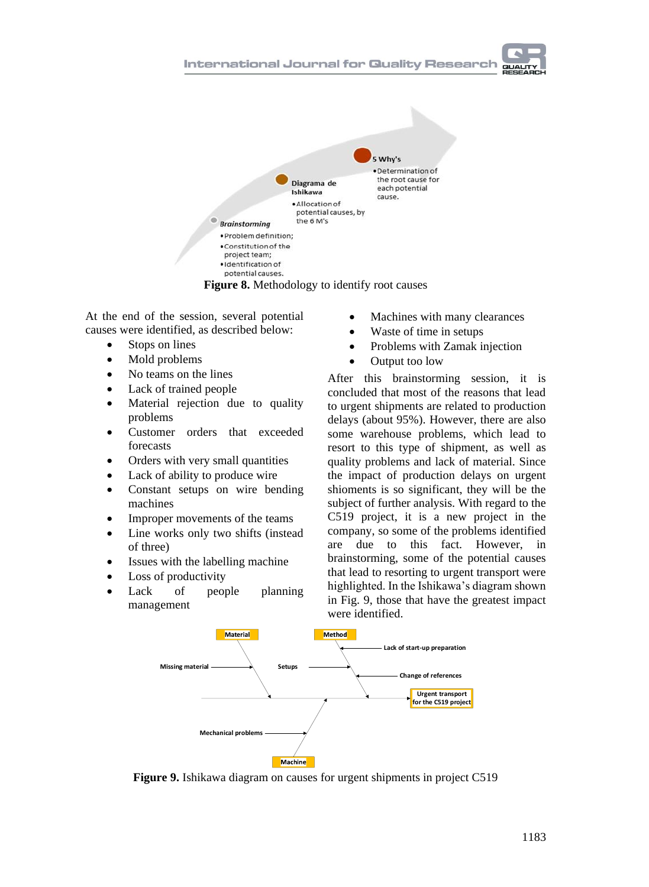



**Figure 8.** Methodology to identify root causes

At the end of the session, several potential causes were identified, as described below:

- Stops on lines
- Mold problems
- No teams on the lines
- Lack of trained people
- Material rejection due to quality problems
- Customer orders that exceeded forecasts
- Orders with very small quantities
- Lack of ability to produce wire
- Constant setups on wire bending machines
- Improper movements of the teams
- Line works only two shifts (instead of three)
- Issues with the labelling machine
- Loss of productivity
- Lack of people planning management
- Machines with many clearances
- Waste of time in setups
- Problems with Zamak injection
- Output too low

After this brainstorming session, it is concluded that most of the reasons that lead to urgent shipments are related to production delays (about 95%). However, there are also some warehouse problems, which lead to resort to this type of shipment, as well as quality problems and lack of material. Since the impact of production delays on urgent shioments is so significant, they will be the subject of further analysis. With regard to the C519 project, it is a new project in the company, so some of the problems identified are due to this fact. However, in brainstorming, some of the potential causes that lead to resorting to urgent transport were highlighted. In the Ishikawa's diagram shown in Fig. 9, those that have the greatest impact were identified.



**Figure 9.** Ishikawa diagram on causes for urgent shipments in project C519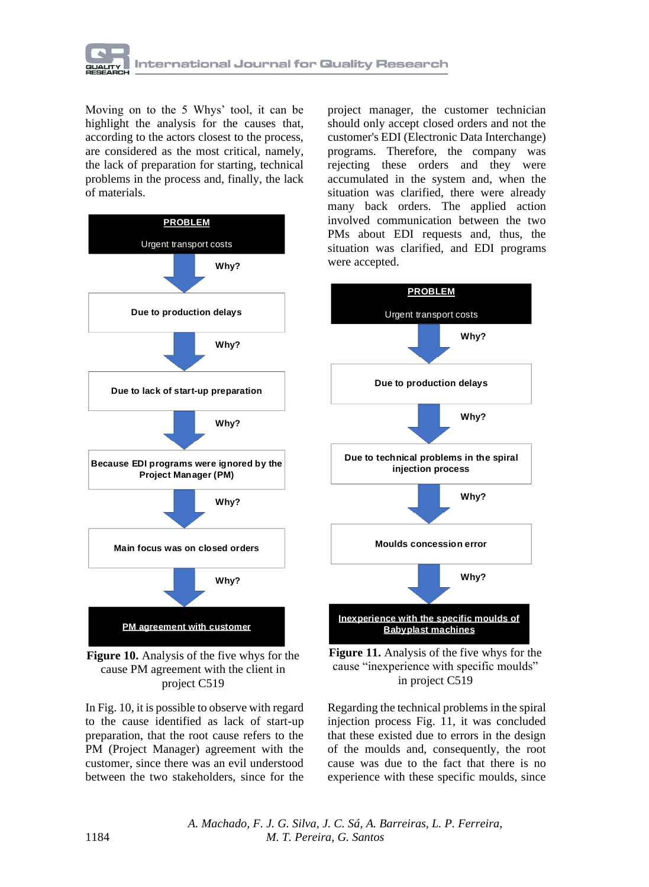

Moving on to the 5 Whys' tool, it can be highlight the analysis for the causes that, according to the actors closest to the process, are considered as the most critical, namely, the lack of preparation for starting, technical problems in the process and, finally, the lack of materials.





In Fig. 10, it is possible to observe with regard to the cause identified as lack of start-up preparation, that the root cause refers to the PM (Project Manager) agreement with the customer, since there was an evil understood between the two stakeholders, since for the

project manager, the customer technician should only accept closed orders and not the customer's EDI (Electronic Data Interchange) programs. Therefore, the company was rejecting these orders and they were accumulated in the system and, when the situation was clarified, there were already many back orders. The applied action involved communication between the two PMs about EDI requests and, thus, the situation was clarified, and EDI programs were accepted.



**Figure 11.** Analysis of the five whys for the cause "inexperience with specific moulds" in project C519

Regarding the technical problems in the spiral injection process Fig. 11, it was concluded that these existed due to errors in the design of the moulds and, consequently, the root cause was due to the fact that there is no experience with these specific moulds, since

*A. Machado, F. J. G. Silva, J. C. Sá, A. Barreiras, L. P. Ferreira,*  1184 *M. T. Pereira, G. Santos*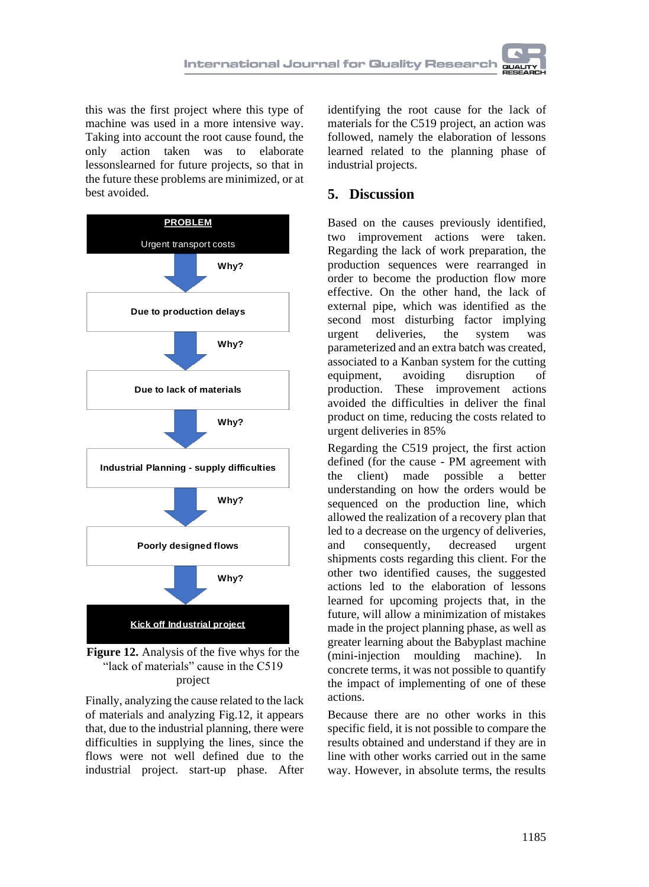this was the first project where this type of machine was used in a more intensive way. Taking into account the root cause found, the only action taken was to elaborate lessonslearned for future projects, so that in the future these problems are minimized, or at best avoided.



**Figure 12.** Analysis of the five whys for the "lack of materials" cause in the C519 project

Finally, analyzing the cause related to the lack of materials and analyzing Fig.12, it appears that, due to the industrial planning, there were difficulties in supplying the lines, since the flows were not well defined due to the industrial project. start-up phase. After

identifying the root cause for the lack of materials for the C519 project, an action was followed, namely the elaboration of lessons learned related to the planning phase of industrial projects.

## **5. Discussion**

Based on the causes previously identified, two improvement actions were taken. Regarding the lack of work preparation, the production sequences were rearranged in order to become the production flow more effective. On the other hand, the lack of external pipe, which was identified as the second most disturbing factor implying urgent deliveries, the system was parameterized and an extra batch was created, associated to a Kanban system for the cutting equipment, avoiding disruption of production. These improvement actions avoided the difficulties in deliver the final product on time, reducing the costs related to urgent deliveries in 85%

Regarding the C519 project, the first action defined (for the cause - PM agreement with the client) made possible a better understanding on how the orders would be sequenced on the production line, which allowed the realization of a recovery plan that led to a decrease on the urgency of deliveries, and consequently, decreased urgent shipments costs regarding this client. For the other two identified causes, the suggested actions led to the elaboration of lessons learned for upcoming projects that, in the future, will allow a minimization of mistakes made in the project planning phase, as well as greater learning about the Babyplast machine (mini-injection moulding machine). In concrete terms, it was not possible to quantify the impact of implementing of one of these actions.

Because there are no other works in this specific field, it is not possible to compare the results obtained and understand if they are in line with other works carried out in the same way. However, in absolute terms, the results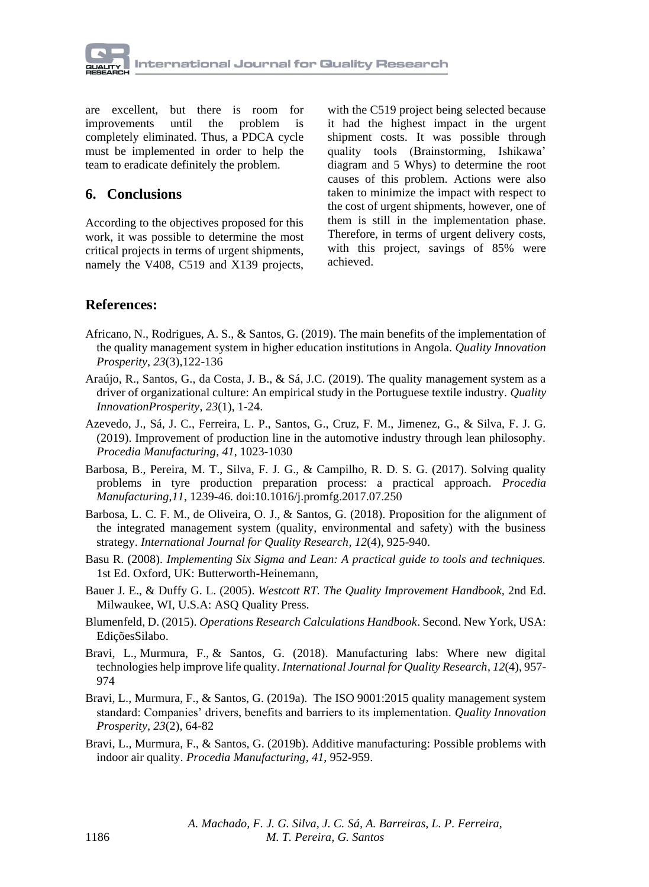

are excellent, but there is room for improvements until the problem is completely eliminated. Thus, a PDCA cycle must be implemented in order to help the team to eradicate definitely the problem.

## **6. Conclusions**

According to the objectives proposed for this work, it was possible to determine the most critical projects in terms of urgent shipments, namely the V408, C519 and X139 projects,

with the C519 project being selected because it had the highest impact in the urgent shipment costs. It was possible through quality tools (Brainstorming, Ishikawa' diagram and 5 Whys) to determine the root causes of this problem. Actions were also taken to minimize the impact with respect to the cost of urgent shipments, however, one of them is still in the implementation phase. Therefore, in terms of urgent delivery costs, with this project, savings of 85% were achieved.

## **References:**

- Africano, N., Rodrigues, A. S., & Santos, G. (2019). The main benefits of the implementation of the quality management system in higher education institutions in Angola. *Quality Innovation Prosperity*, *23*(3),122-136
- Araújo, R., Santos, G., da Costa, J. B., & Sá, J.C. (2019). The quality management system as a driver of organizational culture: An empirical study in the Portuguese textile industry. *Quality InnovationProsperity*, *23*(1), 1-24.
- Azevedo, J., Sá, J. C., Ferreira, L. P., Santos, G., Cruz, F. M., Jimenez, G., & Silva, F. J. G. (2019). Improvement of production line in the automotive industry through lean philosophy. *Procedia Manufacturing*, *41*, 1023-1030
- Barbosa, B., Pereira, M. T., Silva, F. J. G., & Campilho, R. D. S. G. (2017). Solving quality problems in tyre production preparation process: a practical approach. *Procedia Manufacturing*,*11*, 1239-46. doi:10.1016/j.promfg.2017.07.250
- Barbosa, L. C. F. M., de Oliveira, O. J., & Santos, G. (2018). Proposition for the alignment of the integrated management system (quality, environmental and safety) with the business strategy. *International Journal for Quality Research*, *12*(4), 925-940.
- Basu R. (2008). *Implementing Six Sigma and Lean: A practical guide to tools and techniques.* 1st Ed. Oxford, UK: Butterworth-Heinemann,
- Bauer J. E., & Duffy G. L. (2005). *Westcott RT. The Quality Improvement Handbook,* 2nd Ed. Milwaukee, WI, U.S.A: ASQ Quality Press.
- Blumenfeld, D. (2015). *Operations Research Calculations Handbook*. Second. New York, USA: EdiçõesSilabo.
- Bravi, L., Murmura, F., & Santos, G. (2018). Manufacturing labs: Where new digital technologies help improve life quality. *International Journal for Quality Research*, *12*(4), 957- 974
- Bravi, L., Murmura, F., & Santos, G. (2019a). The ISO 9001:2015 quality management system standard: Companies' drivers, benefits and barriers to its implementation. *Quality Innovation Prosperity*, *23*(2), 64-82
- Bravi, L., Murmura, F., & Santos, G. (2019b). Additive manufacturing: Possible problems with indoor air quality. *Procedia Manufacturing*, *41*, 952-959.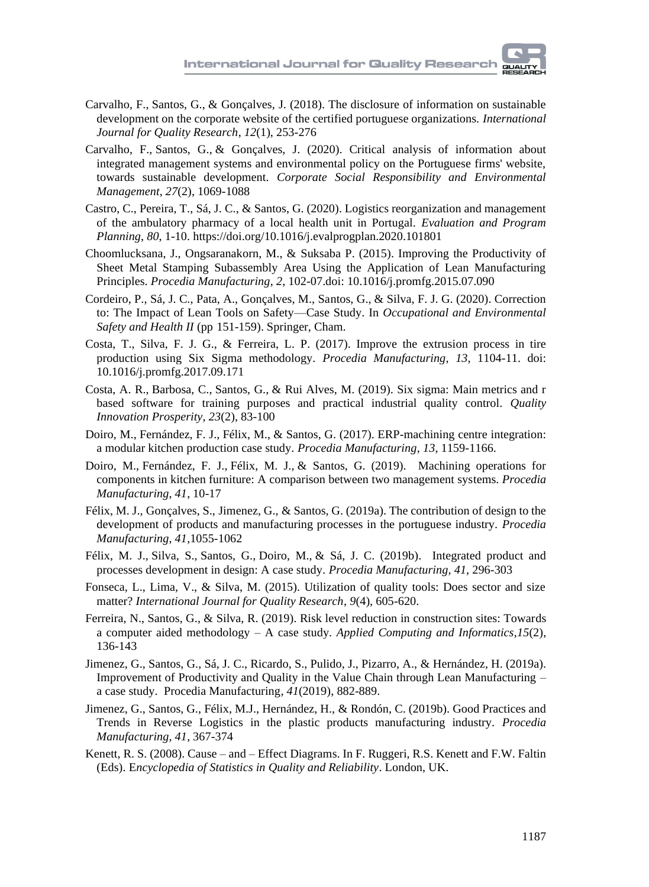- Carvalho, F., Santos, G., & Gonçalves, J. (2018). The disclosure of information on sustainable development on the corporate website of the certified portuguese organizations. *International Journal for Quality Research*, *12*(1), 253-276
- Carvalho, F., Santos, G., & Gonçalves, J. (2020). Critical analysis of information about integrated management systems and environmental policy on the Portuguese firms' website, towards sustainable development. *Corporate Social Responsibility and Environmental Management*, *27*(2), 1069-1088
- Castro, C., Pereira, T., Sá, J. C., & Santos, G. (2020). Logistics reorganization and management of the ambulatory pharmacy of a local health unit in Portugal*. Evaluation and Program Planning*, *80*, 1-10.<https://doi.org/10.1016/j.evalprogplan.2020.101801>
- Choomlucksana, J., Ongsaranakorn, M., & Suksaba P. (2015). Improving the Productivity of Sheet Metal Stamping Subassembly Area Using the Application of Lean Manufacturing Principles. *Procedia Manufacturing*, *2*, 102-07.doi: 10.1016/j.promfg.2015.07.090
- Cordeiro, P., Sá, J. C., Pata, A., Gonçalves, M., Santos, G., & Silva, F. J. G. (2020). Correction to: The Impact of Lean Tools on Safety—Case Study. In *Occupational and Environmental Safety and Health II* (pp 151-159). Springer, Cham.
- Costa, T., Silva, F. J. G., & Ferreira, L. P. (2017). Improve the extrusion process in tire production using Six Sigma methodology. *Procedia Manufacturing*, *13*, 1104-11. doi: 10.1016/j.promfg.2017.09.171
- Costa, A. R., Barbosa, C., Santos, G., & Rui Alves, M. (2019). Six sigma: Main metrics and r based software for training purposes and practical industrial quality control. *Quality Innovation Prosperity*, *23*(2), 83-100
- Doiro, M., Fernández, F. J., Félix, M., & Santos, G. (2017). ERP-machining centre integration: a modular kitchen production case study. *Procedia Manufacturing*, *13*, 1159-1166.
- Doiro, M., Fernández, F. J., Félix, M. J., & Santos, G. (2019). Machining operations for components in kitchen furniture: A comparison between two management systems. *Procedia Manufacturing*, *41*, 10-17
- Félix, M. J., Gonçalves, S., Jimenez, G., & Santos, G. (2019a). The contribution of design to the development of products and manufacturing processes in the portuguese industry. *Procedia Manufacturing*, *41*,1055-1062
- Félix, M. J., Silva, S., Santos, G., Doiro, M., & Sá, J. C. (2019b). Integrated product and processes development in design: A case study. *Procedia Manufacturing*, *41*, 296-303
- Fonseca, L., Lima, V., & Silva, M. (2015). Utilization of quality tools: Does sector and size matter? *International Journal for Quality Research*, *9*(4), 605-620.
- Ferreira, N., Santos, G., & Silva, R. (2019). Risk level reduction in construction sites: Towards a computer aided methodology – A case study. *Applied Computing and Informatics*,*15*(2), 136-143
- Jimenez, G., Santos, G., Sá, J. C., Ricardo, S., Pulido, J., Pizarro, A., & Hernández, H. (2019a). Improvement of Productivity and Quality in the Value Chain through Lean Manufacturing – a case study. Procedia Manufacturing, *41*(2019), 882-889.
- Jimenez, G., Santos, G., Félix, M.J., Hernández, H., & Rondón, C. (2019b). Good Practices and Trends in Reverse Logistics in the plastic products manufacturing industry. *Procedia Manufacturing*, *41*, 367-374
- Kenett, R. S. (2008). Cause and Effect Diagrams. In F. Ruggeri, R.S. Kenett and F.W. Faltin (Eds). E*ncyclopedia of Statistics in Quality and Reliability*. London, UK.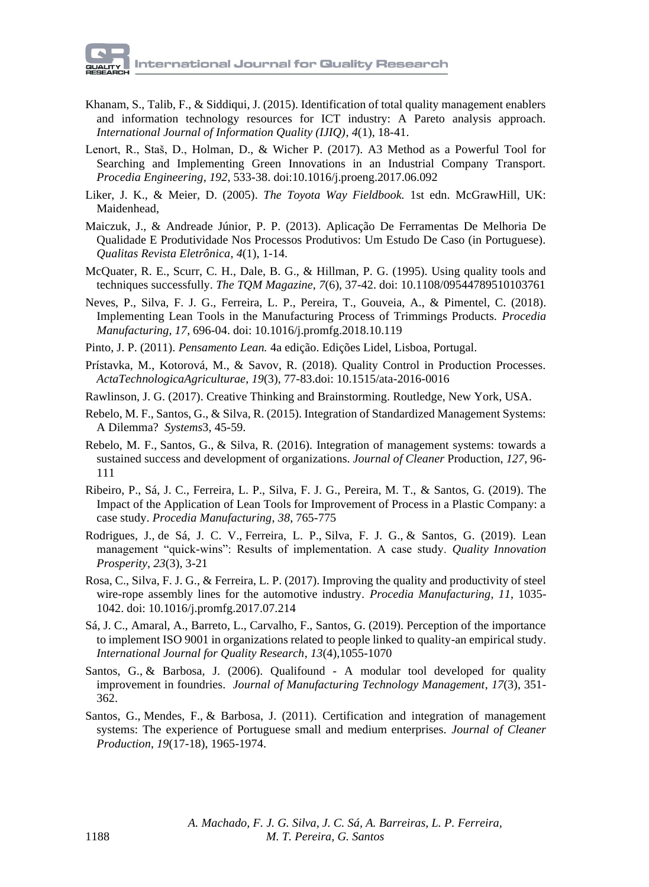- Khanam, S., Talib, F., & Siddiqui, J. (2015). Identification of total quality management enablers and information technology resources for ICT industry: A Pareto analysis approach. *International Journal of Information Quality (IJIQ)*, *4*(1), 18-41.
- Lenort, R., Staš, D., Holman, D., & Wicher P. (2017). A3 Method as a Powerful Tool for Searching and Implementing Green Innovations in an Industrial Company Transport. *Procedia Engineering*, *192*, 533-38. doi:10.1016/j.proeng.2017.06.092
- Liker, J. K., & Meier, D. (2005). *The Toyota Way Fieldbook.* 1st edn. McGrawHill, UK: Maidenhead,
- Maiczuk, J., & Andreade Júnior, P. P. (2013). Aplicação De Ferramentas De Melhoria De Qualidade E Produtividade Nos Processos Produtivos: Um Estudo De Caso (in Portuguese). *Qualitas Revista Eletrônica*, *4*(1), 1-14.
- McQuater, R. E., Scurr, C. H., Dale, B. G., & Hillman, P. G. (1995). Using quality tools and techniques successfully. *The TQM Magazine*, *7*(6), 37-42. doi: 10.1108/09544789510103761
- Neves, P., Silva, F. J. G., Ferreira, L. P., Pereira, T., Gouveia, A., & Pimentel, C. (2018). Implementing Lean Tools in the Manufacturing Process of Trimmings Products. *Procedia Manufacturing*, *17*, 696-04. doi: 10.1016/j.promfg.2018.10.119
- Pinto, J. P. (2011). *Pensamento Lean.* 4a edição. Edições Lidel, Lisboa, Portugal.
- Prístavka, M., Kotorová, M., & Savov, R. (2018). Quality Control in Production Processes*. ActaTechnologicaAgriculturae*, *19*(3), 77-83.doi: 10.1515/ata-2016-0016
- Rawlinson, J. G. (2017). Creative Thinking and Brainstorming. Routledge, New York, USA.
- Rebelo, M. F., Santos, G., & Silva, R. (2015). Integration of Standardized Management Systems: A Dilemma? *Systems*3, 45-59.
- Rebelo, M. F., Santos, G., & Silva, R. (2016). Integration of management systems: towards a sustained success and development of organizations. *Journal of Cleaner* Production, *127*, 96- 111
- Ribeiro, P., Sá, J. C., Ferreira, L. P., Silva, F. J. G., Pereira, M. T., & Santos, G. (2019). The Impact of the Application of Lean Tools for Improvement of Process in a Plastic Company: a case study. *Procedia Manufacturing*, *38*, 765-775
- Rodrigues, J., de Sá, J. C. V., Ferreira, L. P., Silva, F. J. G., & Santos, G. (2019). Lean management "quick-wins": Results of implementation. A case study. *Quality Innovation Prosperity*, *23*(3), 3-21
- Rosa, C., Silva, F. J. G., & Ferreira, L. P. (2017). Improving the quality and productivity of steel wire-rope assembly lines for the automotive industry. *Procedia Manufacturing*, *11*, 1035- 1042. doi: 10.1016/j.promfg.2017.07.214
- Sá, J. C., Amaral, A., Barreto, L., Carvalho, F., Santos, G. (2019). Perception of the importance to implement ISO 9001 in organizations related to people linked to quality-an empirical study. *International Journal for Quality Research*, *13*(4),1055-1070
- Santos, G., & Barbosa, J. (2006). Qualifound A modular tool developed for quality improvement in foundries. *Journal of Manufacturing Technology Management*, *17*(3), 351- 362.
- Santos, G., Mendes, F., & Barbosa, J. (2011). Certification and integration of management systems: The experience of Portuguese small and medium enterprises. *Journal of Cleaner Production*, *19*(17-18), 1965-1974.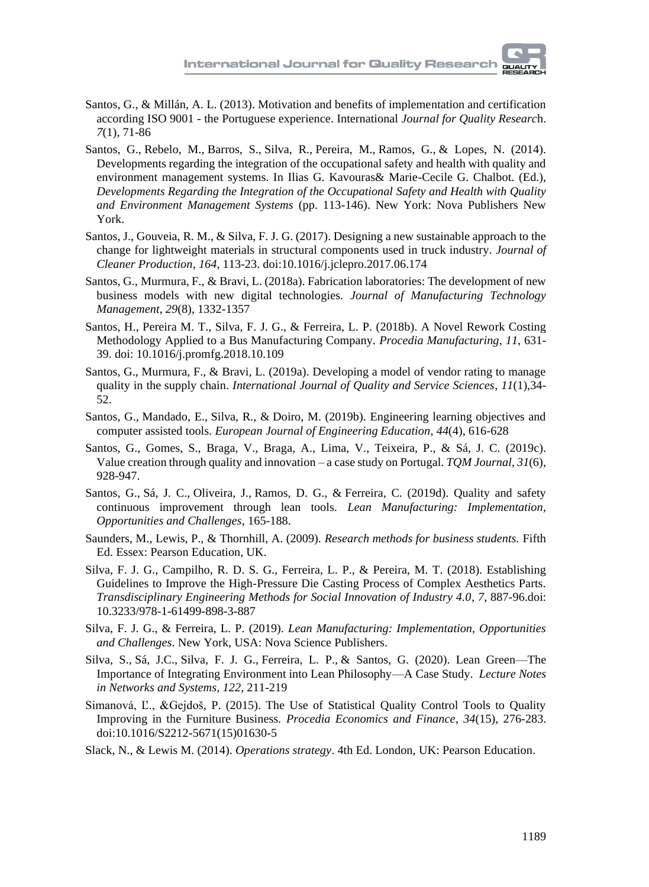- Santos, G., & Millán, A. L. (2013). Motivation and benefits of implementation and certification according ISO 9001 - the Portuguese experience. International *Journal for Quality Researc*h. *7*(1), 71-86
- Santos, G., Rebelo, M., Barros, S., Silva, R., Pereira, M., Ramos, G., & Lopes, N. (2014). Developments regarding the integration of the occupational safety and health with quality and environment management systems. In Ilias G. Kavouras& Marie-Cecile G. Chalbot. (Ed.), *Developments Regarding the Integration of the Occupational Safety and Health with Quality and Environment Management Systems* (pp. 113-146). New York: Nova Publishers New York.
- Santos, J., Gouveia, R. M., & Silva, F. J. G. (2017). Designing a new sustainable approach to the change for lightweight materials in structural components used in truck industry. *Journal of Cleaner Production*, *164*, 113-23. doi:10.1016/j.jclepro.2017.06.174
- Santos, G., Murmura, F., & Bravi, L. (2018a). Fabrication laboratories: The development of new business models with new digital technologies. *Journal of Manufacturing Technology Management*, *29*(8), 1332-1357
- Santos, H., Pereira M. T., Silva, F. J. G., & Ferreira, L. P. (2018b). A Novel Rework Costing Methodology Applied to a Bus Manufacturing Company. *Procedia Manufacturing*, *11*, 631- 39. doi: 10.1016/j.promfg.2018.10.109
- Santos, G., Murmura, F., & Bravi, L. (2019a). Developing a model of vendor rating to manage quality in the supply chain. *International Journal of Quality and Service Sciences*, *11*(1),34- 52.
- Santos, G., Mandado, E., Silva, R., & Doiro, M. (2019b). Engineering learning objectives and computer assisted tools. *European Journal of Engineering Education*, *44*(4), 616-628
- Santos, G., Gomes, S., Braga, V., Braga, A., Lima, V., Teixeira, P., & Sá, J. C. (2019c). Value creation through quality and innovation – a case study on Portugal. *TQM Journal*, *31*(6), 928-947.
- Santos, G., Sá, J. C., Oliveira, J., Ramos, D. G., & Ferreira, C. (2019d). Quality and safety continuous improvement through lean tools. *Lean Manufacturing: Implementation, Opportunities and Challenges*, 165-188.
- Saunders, M., Lewis, P., & Thornhill, A. (2009). *Research methods for business students.* Fifth Ed. Essex: Pearson Education, UK.
- Silva, F. J. G., Campilho, R. D. S. G., Ferreira, L. P., & Pereira, M. T. (2018). Establishing Guidelines to Improve the High-Pressure Die Casting Process of Complex Aesthetics Parts. *Transdisciplinary Engineering Methods for Social Innovation of Industry 4.0*, *7*, 887-96.doi: 10.3233/978-1-61499-898-3-887
- Silva, F. J. G., & Ferreira, L. P. (2019). *Lean Manufacturing: Implementation, Opportunities and Challenges*. New York, USA: Nova Science Publishers.
- Silva, S., Sá, J.C., Silva, F. J. G., Ferreira, L. P., & Santos, G. (2020). Lean Green—The Importance of Integrating Environment into Lean Philosophy—A Case Study. *Lecture Notes in Networks and Systems*, *122*, 211-219
- Simanová, Ľ., &Gejdoš, P. (2015). The Use of Statistical Quality Control Tools to Quality Improving in the Furniture Business. *Procedia Economics and Finance*, *34*(15), 276-283. doi:10.1016/S2212-5671(15)01630-5
- Slack, N., & Lewis M. (2014). *Operations strategy*. 4th Ed. London, UK: Pearson Education.